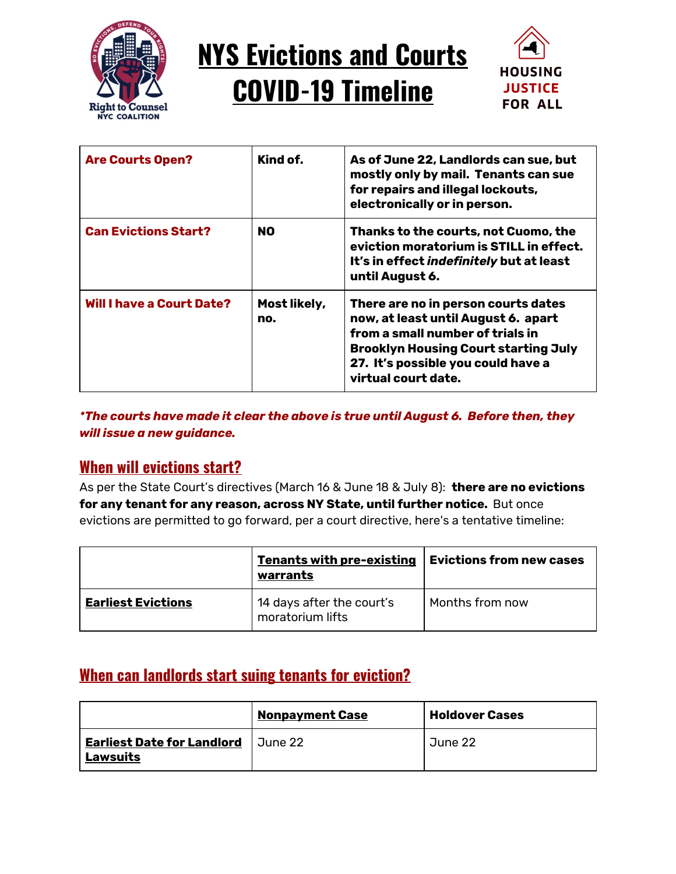

# **NYS Evictions and Courts COVID-19 Timeline**



| <b>Are Courts Open?</b>          | Kind of.            | As of June 22, Landlords can sue, but<br>mostly only by mail. Tenants can sue<br>for repairs and illegal lockouts,<br>electronically or in person.                                                                         |
|----------------------------------|---------------------|----------------------------------------------------------------------------------------------------------------------------------------------------------------------------------------------------------------------------|
| <b>Can Evictions Start?</b>      | <b>NO</b>           | Thanks to the courts, not Cuomo, the<br>eviction moratorium is STILL in effect.<br>It's in effect <i>indefinitely</i> but at least<br>until August 6.                                                                      |
| <b>Will I have a Court Date?</b> | Most likely,<br>no. | There are no in person courts dates<br>now, at least until August 6. apart<br>from a small number of trials in<br><b>Brooklyn Housing Court starting July</b><br>27. It's possible you could have a<br>virtual court date. |

*\*The courts have made it clear the above is true until August 6. Before then, they will issue a new guidance.*

### **When will evictions start?**

As per the State Court's directives (March 16 & June 18 & July 8): **there are no evictions for any tenant for any reason, across NY State, until further notice.** But once evictions are permitted to go forward, per a court directive, here's a tentative timeline:

|                           | <b>Tenants with pre-existing</b><br>warrants  | <b>Evictions from new cases</b> |
|---------------------------|-----------------------------------------------|---------------------------------|
| <b>Earliest Evictions</b> | 14 days after the court's<br>moratorium lifts | Months from now                 |

### **When can landlords start suing tenants for eviction?**

|                                                      | <b>Nonpayment Case</b> | <b>Holdover Cases</b> |
|------------------------------------------------------|------------------------|-----------------------|
| <b>Earliest Date for Landlord</b><br><b>Lawsuits</b> | June 22                | June 22               |